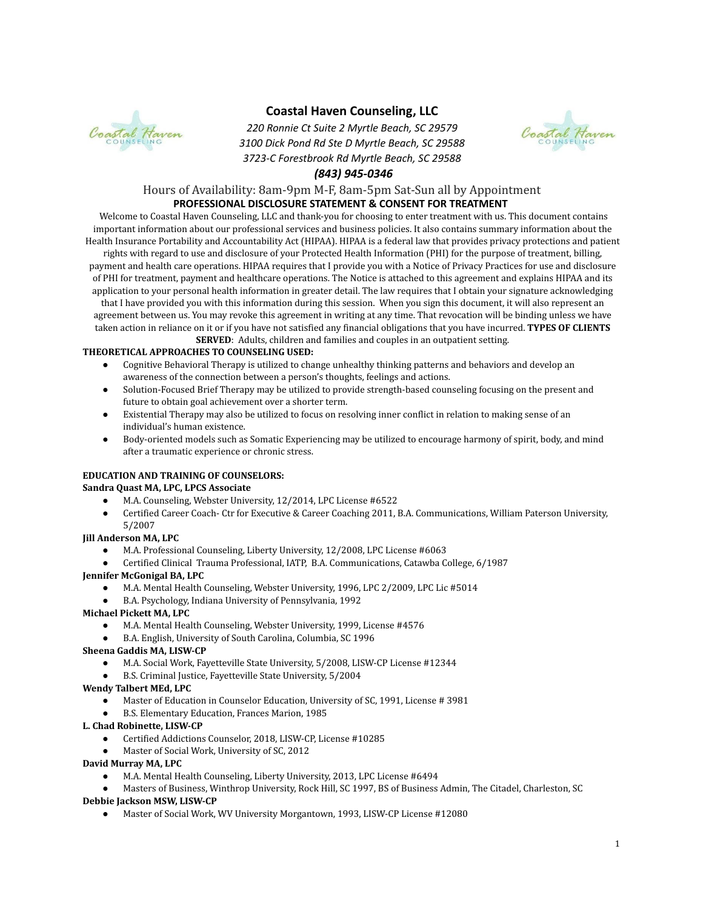

# **Coastal Haven Counseling, LLC**

*220 Ronnie Ct Suite 2 Myrtle Beach, SC 29579 3100 Dick Pond Rd Ste D Myrtle Beach, SC 29588 3723-C Forestbrook Rd Myrtle Beach, SC 29588*



# *(843) 945-0346*

# Hours of Availability: 8am-9pm M-F, 8am-5pm Sat-Sun all by Appointment **PROFESSIONAL DISCLOSURE STATEMENT & CONSENT FOR TREATMENT**

Welcome to Coastal Haven Counseling, LLC and thank-you for choosing to enter treatment with us. This document contains important information about our professional services and business policies. It also contains summary information about the Health Insurance Portability and Accountability Act (HIPAA). HIPAA is a federal law that provides privacy protections and patient rights with regard to use and disclosure of your Protected Health Information (PHI) for the purpose of treatment, billing, payment and health care operations. HIPAA requires that I provide you with a Notice of Privacy Practices for use and disclosure of PHI for treatment, payment and healthcare operations. The Notice is attached to this agreement and explains HIPAA and its application to your personal health information in greater detail. The law requires that I obtain your signature acknowledging that I have provided you with this information during this session. When you sign this document, it will also represent an agreement between us. You may revoke this agreement in writing at any time. That revocation will be binding unless we have taken action in reliance on it or if you have not satisfied any financial obligations that you have incurred. **TYPES OF CLIENTS**

**SERVED**: Adults, children and families and couples in an outpatient setting.

# **THEORETICAL APPROACHES TO COUNSELING USED:**

- Cognitive Behavioral Therapy is utilized to change unhealthy thinking patterns and behaviors and develop an awareness of the connection between a person's thoughts, feelings and actions.
- Solution-Focused Brief Therapy may be utilized to provide strength-based counseling focusing on the present and future to obtain goal achievement over a shorter term.
- Existential Therapy may also be utilized to focus on resolving inner conflict in relation to making sense of an individual's human existence.
- Body-oriented models such as Somatic Experiencing may be utilized to encourage harmony of spirit, body, and mind after a traumatic experience or chronic stress.

# **EDUCATION AND TRAINING OF COUNSELORS:**

# **Sandra Quast MA, LPC, LPCS Associate**

- M.A. Counseling, Webster University, 12/2014, LPC License #6522
- Certified Career Coach- Ctr for Executive & Career Coaching 2011, B.A. Communications, William Paterson University, 5/2007

# **Jill Anderson MA, LPC**

- M.A. Professional Counseling, Liberty University, 12/2008, LPC License #6063
- Certified Clinical Trauma Professional, IATP, B.A. Communications, Catawba College, 6/1987

# **Jennifer McGonigal BA, LPC**

- M.A. Mental Health Counseling, Webster University, 1996, LPC 2/2009, LPC Lic #5014
- B.A. Psychology, Indiana University of Pennsylvania, 1992

# **Michael Pickett MA, LPC**

- M.A. Mental Health Counseling, Webster University, 1999, License #4576
- B.A. English, University of South Carolina, Columbia, SC 1996

# **Sheena Gaddis MA, LISW-CP**

- M.A. Social Work, Fayetteville State University, 5/2008, LISW-CP License #12344
- B.S. Criminal Justice, Fayetteville State University, 5/2004

# **Wendy Talbert MEd, LPC**

- Master of Education in Counselor Education, University of SC, 1991, License # 3981
- B.S. Elementary Education, Frances Marion, 1985

# **L. Chad Robinette, LISW-CP**

- Certified Addictions Counselor, 2018, LISW-CP, License #10285
- Master of Social Work, University of SC, 2012
- **David Murray MA, LPC**
	- M.A. Mental Health Counseling, Liberty University, 2013, LPC License #6494
- Masters of Business, Winthrop University, Rock Hill, SC 1997, BS of Business Admin, The Citadel, Charleston, SC **Debbie Jackson MSW, LISW-CP**
	- Master of Social Work, WV University Morgantown, 1993, LISW-CP License #12080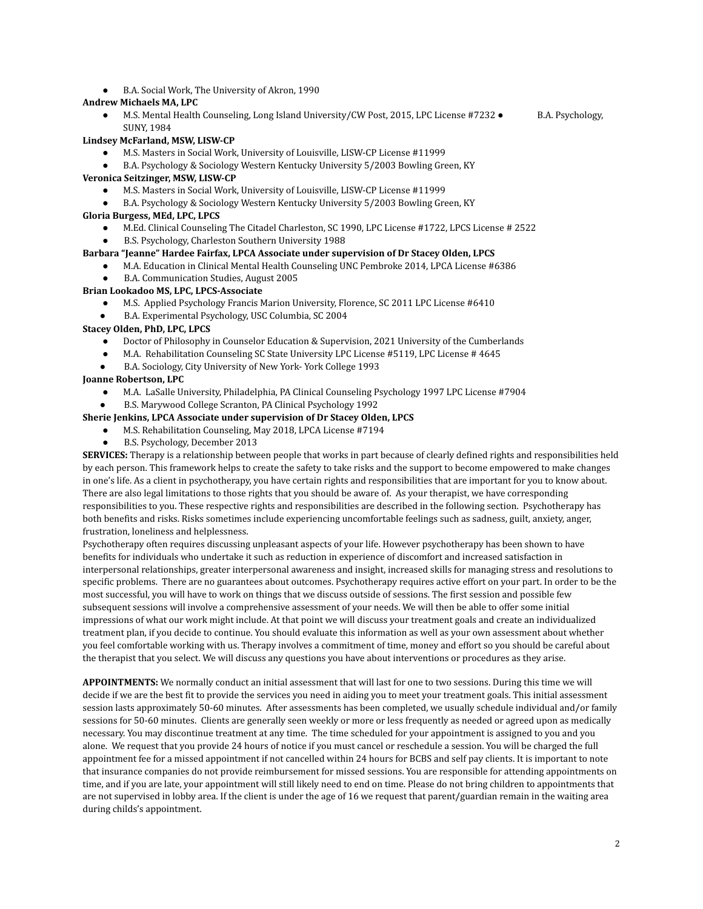B.A. Social Work, The University of Akron, 1990

#### **Andrew Michaels MA, LPC**

● M.S. Mental Health Counseling, Long Island University/CW Post, 2015, LPC License #7232 ● B.A. Psychology, SUNY, 1984

#### **Lindsey McFarland, MSW, LISW-CP**

- M.S. Masters in Social Work, University of Louisville, LISW-CP License #11999
- B.A. Psychology & Sociology Western Kentucky University 5/2003 Bowling Green, KY

### **Veronica Seitzinger, MSW, LISW-CP**

- M.S. Masters in Social Work, University of Louisville, LISW-CP License #11999
- B.A. Psychology & Sociology Western Kentucky University 5/2003 Bowling Green, KY

### **Gloria Burgess, MEd, LPC, LPCS**

- M.Ed. Clinical Counseling The Citadel Charleston, SC 1990, LPC License #1722, LPCS License # 2522
- B.S. Psychology, Charleston Southern University 1988

### **Barbara "Jeanne" Hardee Fairfax, LPCA Associate under supervision of Dr Stacey Olden, LPCS**

- M.A. Education in Clinical Mental Health Counseling UNC Pembroke 2014, LPCA License #6386
- B.A. Communication Studies, August 2005

#### **Brian Lookadoo MS, LPC, LPCS-Associate**

- M.S. Applied Psychology Francis Marion University, Florence, SC 2011 LPC License #6410
- B.A. Experimental Psychology, USC Columbia, SC 2004

### **Stacey Olden, PhD, LPC, LPCS**

- Doctor of Philosophy in Counselor Education & Supervision, 2021 University of the Cumberlands
- M.A. Rehabilitation Counseling SC State University LPC License #5119, LPC License # 4645
- B.A. Sociology, City University of New York- York College 1993

### **Joanne Robertson, LPC**

- M.A. LaSalle University, Philadelphia, PA Clinical Counseling Psychology 1997 LPC License #7904
- B.S. Marywood College Scranton, PA Clinical Psychology 1992

# **Sherie Jenkins, LPCA Associate under supervision of Dr Stacey Olden, LPCS**

- M.S. Rehabilitation Counseling, May 2018, LPCA License #7194
	- B.S. Psychology, December 2013

**SERVICES:** Therapy is a relationship between people that works in part because of clearly defined rights and responsibilities held by each person. This framework helps to create the safety to take risks and the support to become empowered to make changes in one's life. As a client in psychotherapy, you have certain rights and responsibilities that are important for you to know about. There are also legal limitations to those rights that you should be aware of. As your therapist, we have corresponding responsibilities to you. These respective rights and responsibilities are described in the following section. Psychotherapy has both benefits and risks. Risks sometimes include experiencing uncomfortable feelings such as sadness, guilt, anxiety, anger, frustration, loneliness and helplessness.

Psychotherapy often requires discussing unpleasant aspects of your life. However psychotherapy has been shown to have benefits for individuals who undertake it such as reduction in experience of discomfort and increased satisfaction in interpersonal relationships, greater interpersonal awareness and insight, increased skills for managing stress and resolutions to specific problems. There are no guarantees about outcomes. Psychotherapy requires active effort on your part. In order to be the most successful, you will have to work on things that we discuss outside of sessions. The first session and possible few subsequent sessions will involve a comprehensive assessment of your needs. We will then be able to offer some initial impressions of what our work might include. At that point we will discuss your treatment goals and create an individualized treatment plan, if you decide to continue. You should evaluate this information as well as your own assessment about whether you feel comfortable working with us. Therapy involves a commitment of time, money and effort so you should be careful about the therapist that you select. We will discuss any questions you have about interventions or procedures as they arise.

**APPOINTMENTS:** We normally conduct an initial assessment that will last for one to two sessions. During this time we will decide if we are the best fit to provide the services you need in aiding you to meet your treatment goals. This initial assessment session lasts approximately 50-60 minutes. After assessments has been completed, we usually schedule individual and/or family sessions for 50-60 minutes. Clients are generally seen weekly or more or less frequently as needed or agreed upon as medically necessary. You may discontinue treatment at any time. The time scheduled for your appointment is assigned to you and you alone. We request that you provide 24 hours of notice if you must cancel or reschedule a session. You will be charged the full appointment fee for a missed appointment if not cancelled within 24 hours for BCBS and self pay clients. It is important to note that insurance companies do not provide reimbursement for missed sessions. You are responsible for attending appointments on time, and if you are late, your appointment will still likely need to end on time. Please do not bring children to appointments that are not supervised in lobby area. If the client is under the age of 16 we request that parent/guardian remain in the waiting area during childs's appointment.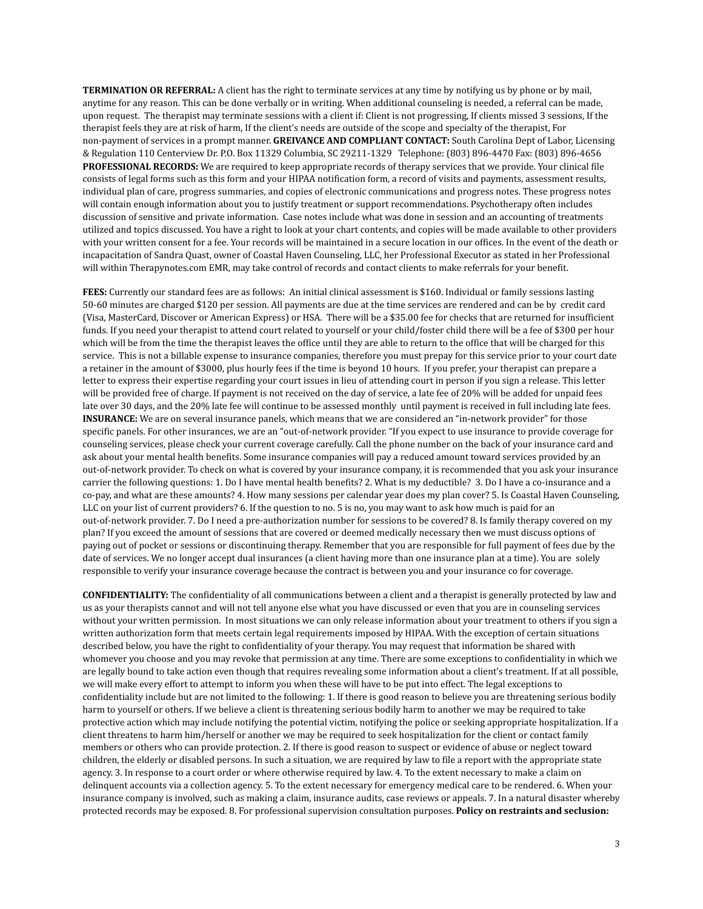**TERMINATION OR REFERRAL:** A client has the right to terminate services at any time by notifying us by phone or by mail, anytime for any reason. This can be done verbally or in writing. When additional counseling is needed, a referral can be made, upon request. The therapist may terminate sessions with a client if: Client is not progressing, If clients missed 3 sessions, If the therapist feels they are at risk of harm, If the client's needs are outside of the scope and specialty of the therapist, For non-payment of services in a prompt manner. **GREIVANCE AND COMPLIANT CONTACT:** South Carolina Dept of Labor, Licensing & Regulation 110 Centerview Dr. P.O. Box 11329 Columbia, SC 29211-1329 Telephone: (803) 896-4470 Fax: (803) 896-4656 **PROFESSIONAL RECORDS:** We are required to keep appropriate records of therapy services that we provide. Your clinical file consists of legal forms such as this form and your HIPAA notification form, a record of visits and payments, assessment results, individual plan of care, progress summaries, and copies of electronic communications and progress notes. These progress notes will contain enough information about you to justify treatment or support recommendations. Psychotherapy often includes discussion of sensitive and private information. Case notes include what was done in session and an accounting of treatments utilized and topics discussed. You have a right to look at your chart contents, and copies will be made available to other providers with your written consent for a fee. Your records will be maintained in a secure location in our offices. In the event of the death or incapacitation of Sandra Quast, owner of Coastal Haven Counseling, LLC, her Professional Executor as stated in her Professional will within Therapynotes.com EMR, may take control of records and contact clients to make referrals for your benefit.

**FEES:** Currently our standard fees are as follows: An initial clinical assessment is \$160. Individual or family sessions lasting 50-60 minutes are charged \$120 per session. All payments are due at the time services are rendered and can be by credit card (Visa, MasterCard, Discover or American Express) or HSA. There will be a \$35.00 fee for checks that are returned for insufficient funds. If you need your therapist to attend court related to yourself or your child/foster child there will be a fee of \$300 per hour which will be from the time the therapist leaves the office until they are able to return to the office that will be charged for this service. This is not a billable expense to insurance companies, therefore you must prepay for this service prior to your court date a retainer in the amount of \$3000, plus hourly fees if the time is beyond 10 hours. If you prefer, your therapist can prepare a letter to express their expertise regarding your court issues in lieu of attending court in person if you sign a release. This letter will be provided free of charge. If payment is not received on the day of service, a late fee of 20% will be added for unpaid fees late over 30 days, and the 20% late fee will continue to be assessed monthly until payment is received in full including late fees. **INSURANCE:** We are on several insurance panels, which means that we are considered an "in-network provider" for those specific panels. For other insurances, we are an "out-of-network provider. "If you expect to use insurance to provide coverage for counseling services, please check your current coverage carefully. Call the phone number on the back of your insurance card and ask about your mental health benefits. Some insurance companies will pay a reduced amount toward services provided by an out-of-network provider. To check on what is covered by your insurance company, it is recommended that you ask your insurance carrier the following questions: 1. Do I have mental health benefits? 2. What is my deductible? 3. Do I have a co-insurance and a co-pay, and what are these amounts? 4. How many sessions per calendar year does my plan cover? 5. Is Coastal Haven Counseling, LLC on your list of current providers? 6. If the question to no. 5 is no, you may want to ask how much is paid for an out-of-network provider. 7. Do I need a pre-authorization number for sessions to be covered? 8. Is family therapy covered on my plan? If you exceed the amount of sessions that are covered or deemed medically necessary then we must discuss options of paying out of pocket or sessions or discontinuing therapy. Remember that you are responsible for full payment of fees due by the date of services. We no longer accept dual insurances (a client having more than one insurance plan at a time). You are solely responsible to verify your insurance coverage because the contract is between you and your insurance co for coverage.

**CONFIDENTIALITY:** The confidentiality of all communications between a client and a therapist is generally protected by law and us as your therapists cannot and will not tell anyone else what you have discussed or even that you are in counseling services without your written permission. In most situations we can only release information about your treatment to others if you sign a written authorization form that meets certain legal requirements imposed by HIPAA. With the exception of certain situations described below, you have the right to confidentiality of your therapy. You may request that information be shared with whomever you choose and you may revoke that permission at any time. There are some exceptions to confidentiality in which we are legally bound to take action even though that requires revealing some information about a client's treatment. If at all possible, we will make every effort to attempt to inform you when these will have to be put into effect. The legal exceptions to confidentiality include but are not limited to the following: 1. If there is good reason to believe you are threatening serious bodily harm to yourself or others. If we believe a client is threatening serious bodily harm to another we may be required to take protective action which may include notifying the potential victim, notifying the police or seeking appropriate hospitalization. If a client threatens to harm him/herself or another we may be required to seek hospitalization for the client or contact family members or others who can provide protection. 2. If there is good reason to suspect or evidence of abuse or neglect toward children, the elderly or disabled persons. In such a situation, we are required by law to file a report with the appropriate state agency. 3. In response to a court order or where otherwise required by law. 4. To the extent necessary to make a claim on delinquent accounts via a collection agency. 5. To the extent necessary for emergency medical care to be rendered. 6. When your insurance company is involved, such as making a claim, insurance audits, case reviews or appeals. 7. In a natural disaster whereby protected records may be exposed. 8. For professional supervision consultation purposes. **Policy on restraints and seclusion:**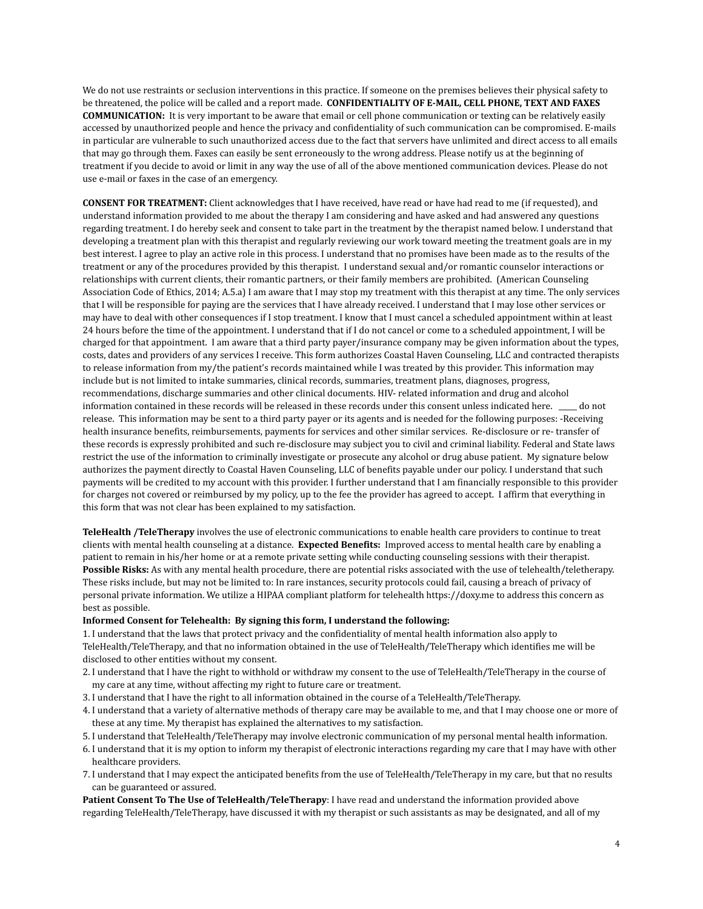We do not use restraints or seclusion interventions in this practice. If someone on the premises believes their physical safety to be threatened, the police will be called and a report made. **CONFIDENTIALITY OF E-MAIL, CELL PHONE, TEXT AND FAXES COMMUNICATION:** It is very important to be aware that email or cell phone communication or texting can be relatively easily accessed by unauthorized people and hence the privacy and confidentiality of such communication can be compromised. E-mails in particular are vulnerable to such unauthorized access due to the fact that servers have unlimited and direct access to all emails that may go through them. Faxes can easily be sent erroneously to the wrong address. Please notify us at the beginning of treatment if you decide to avoid or limit in any way the use of all of the above mentioned communication devices. Please do not use e-mail or faxes in the case of an emergency.

**CONSENT FOR TREATMENT:** Client acknowledges that I have received, have read or have had read to me (if requested), and understand information provided to me about the therapy I am considering and have asked and had answered any questions regarding treatment. I do hereby seek and consent to take part in the treatment by the therapist named below. I understand that developing a treatment plan with this therapist and regularly reviewing our work toward meeting the treatment goals are in my best interest. I agree to play an active role in this process. I understand that no promises have been made as to the results of the treatment or any of the procedures provided by this therapist. I understand sexual and/or romantic counselor interactions or relationships with current clients, their romantic partners, or their family members are prohibited. (American Counseling Association Code of Ethics, 2014; A.5.a) I am aware that I may stop my treatment with this therapist at any time. The only services that I will be responsible for paying are the services that I have already received. I understand that I may lose other services or may have to deal with other consequences if I stop treatment. I know that I must cancel a scheduled appointment within at least 24 hours before the time of the appointment. I understand that if I do not cancel or come to a scheduled appointment, I will be charged for that appointment. I am aware that a third party payer/insurance company may be given information about the types, costs, dates and providers of any services I receive. This form authorizes Coastal Haven Counseling, LLC and contracted therapists to release information from my/the patient's records maintained while I was treated by this provider. This information may include but is not limited to intake summaries, clinical records, summaries, treatment plans, diagnoses, progress, recommendations, discharge summaries and other clinical documents. HIV- related information and drug and alcohol information contained in these records will be released in these records under this consent unless indicated here. \_\_\_\_\_ do not release. This information may be sent to a third party payer or its agents and is needed for the following purposes: -Receiving health insurance benefits, reimbursements, payments for services and other similar services. Re-disclosure or re- transfer of these records is expressly prohibited and such re-disclosure may subject you to civil and criminal liability. Federal and State laws restrict the use of the information to criminally investigate or prosecute any alcohol or drug abuse patient. My signature below authorizes the payment directly to Coastal Haven Counseling, LLC of benefits payable under our policy. I understand that such payments will be credited to my account with this provider. I further understand that I am financially responsible to this provider for charges not covered or reimbursed by my policy, up to the fee the provider has agreed to accept. I affirm that everything in this form that was not clear has been explained to my satisfaction.

**TeleHealth /TeleTherapy** involves the use of electronic communications to enable health care providers to continue to treat clients with mental health counseling at a distance. **Expected Benefits:** Improved access to mental health care by enabling a patient to remain in his/her home or at a remote private setting while conducting counseling sessions with their therapist. **Possible Risks:** As with any mental health procedure, there are potential risks associated with the use of telehealth/teletherapy. These risks include, but may not be limited to: In rare instances, security protocols could fail, causing a breach of privacy of personal private information. We utilize a HIPAA compliant platform for telehealth https://doxy.me to address this concern as best as possible.

#### **Informed Consent for Telehealth: By signing this form, I understand the following:**

1. I understand that the laws that protect privacy and the confidentiality of mental health information also apply to TeleHealth/TeleTherapy, and that no information obtained in the use of TeleHealth/TeleTherapy which identifies me will be disclosed to other entities without my consent.

- 2. I understand that I have the right to withhold or withdraw my consent to the use of TeleHealth/TeleTherapy in the course of my care at any time, without affecting my right to future care or treatment.
- 3. I understand that I have the right to all information obtained in the course of a TeleHealth/TeleTherapy.
- 4. I understand that a variety of alternative methods of therapy care may be available to me, and that I may choose one or more of these at any time. My therapist has explained the alternatives to my satisfaction.
- 5. I understand that TeleHealth/TeleTherapy may involve electronic communication of my personal mental health information.
- 6. I understand that it is my option to inform my therapist of electronic interactions regarding my care that I may have with other healthcare providers.
- 7. I understand that I may expect the anticipated benefits from the use of TeleHealth/TeleTherapy in my care, but that no results can be guaranteed or assured.

**Patient Consent To The Use of TeleHealth/TeleTherapy**: I have read and understand the information provided above regarding TeleHealth/TeleTherapy, have discussed it with my therapist or such assistants as may be designated, and all of my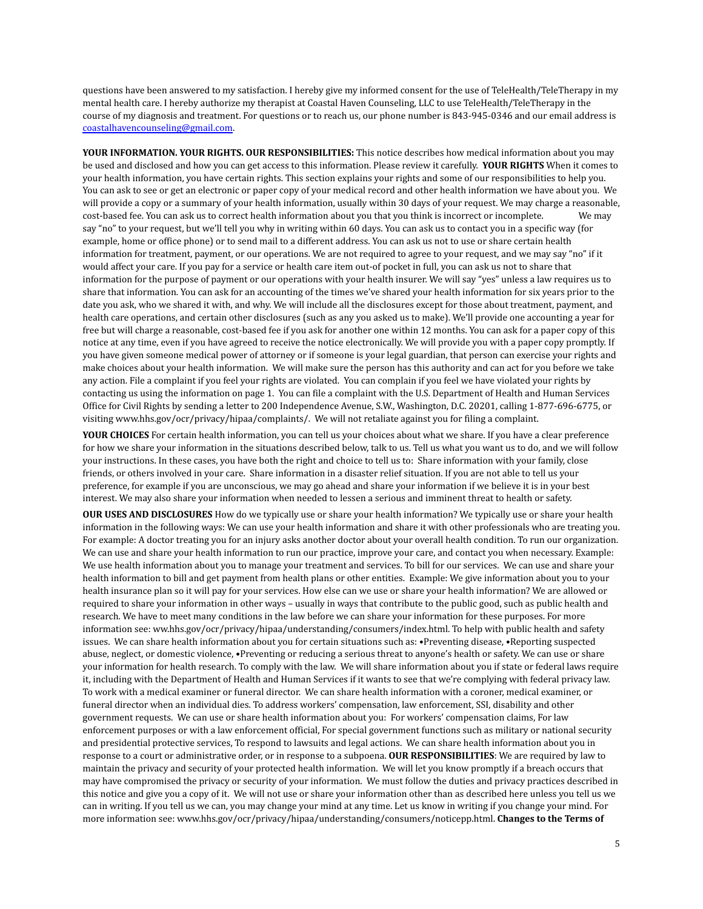questions have been answered to my satisfaction. I hereby give my informed consent for the use of TeleHealth/TeleTherapy in my mental health care. I hereby authorize my therapist at Coastal Haven Counseling, LLC to use TeleHealth/TeleTherapy in the course of my diagnosis and treatment. For questions or to reach us, our phone number is 843-945-0346 and our email address is coastalhavencounseling@gmail.com.

**YOUR INFORMATION. YOUR RIGHTS. OUR RESPONSIBILITIES:** This notice describes how medical information about you may be used and disclosed and how you can get access to this information. Please review it carefully. **YOUR RIGHTS** When it comes to your health information, you have certain rights. This section explains your rights and some of our responsibilities to help you. You can ask to see or get an electronic or paper copy of your medical record and other health information we have about you. We will provide a copy or a summary of your health information, usually within 30 days of your request. We may charge a reasonable, cost-based fee. You can ask us to correct health information about you that you think is incorrect or incomplete. We may say "no" to your request, but we'll tell you why in writing within 60 days. You can ask us to contact you in a specific way (for example, home or office phone) or to send mail to a different address. You can ask us not to use or share certain health information for treatment, payment, or our operations. We are not required to agree to your request, and we may say "no" if it would affect your care. If you pay for a service or health care item out-of pocket in full, you can ask us not to share that information for the purpose of payment or our operations with your health insurer. We will say "yes" unless a law requires us to share that information. You can ask for an accounting of the times we've shared your health information for six years prior to the date you ask, who we shared it with, and why. We will include all the disclosures except for those about treatment, payment, and health care operations, and certain other disclosures (such as any you asked us to make). We'll provide one accounting a year for free but will charge a reasonable, cost-based fee if you ask for another one within 12 months. You can ask for a paper copy of this notice at any time, even if you have agreed to receive the notice electronically. We will provide you with a paper copy promptly. If you have given someone medical power of attorney or if someone is your legal guardian, that person can exercise your rights and make choices about your health information. We will make sure the person has this authority and can act for you before we take any action. File a complaint if you feel your rights are violated. You can complain if you feel we have violated your rights by contacting us using the information on page 1. You can file a complaint with the U.S. Department of Health and Human Services Office for Civil Rights by sending a letter to 200 Independence Avenue, S.W., Washington, D.C. 20201, calling 1-877-696-6775, or visiting www.hhs.gov/ocr/privacy/hipaa/complaints/. We will not retaliate against you for filing a complaint.

**YOUR CHOICES** For certain health information, you can tell us your choices about what we share. If you have a clear preference for how we share your information in the situations described below, talk to us. Tell us what you want us to do, and we will follow your instructions. In these cases, you have both the right and choice to tell us to: Share information with your family, close friends, or others involved in your care. Share information in a disaster relief situation. If you are not able to tell us your preference, for example if you are unconscious, we may go ahead and share your information if we believe it is in your best interest. We may also share your information when needed to lessen a serious and imminent threat to health or safety.

**OUR USES AND DISCLOSURES** How do we typically use or share your health information? We typically use or share your health information in the following ways: We can use your health information and share it with other professionals who are treating you. For example: A doctor treating you for an injury asks another doctor about your overall health condition. To run our organization. We can use and share your health information to run our practice, improve your care, and contact you when necessary. Example: We use health information about you to manage your treatment and services. To bill for our services. We can use and share your health information to bill and get payment from health plans or other entities. Example: We give information about you to your health insurance plan so it will pay for your services. How else can we use or share your health information? We are allowed or required to share your information in other ways – usually in ways that contribute to the public good, such as public health and research. We have to meet many conditions in the law before we can share your information for these purposes. For more information see: ww.hhs.gov/ocr/privacy/hipaa/understanding/consumers/index.html. To help with public health and safety issues. We can share health information about you for certain situations such as: •Preventing disease, •Reporting suspected abuse, neglect, or domestic violence, •Preventing or reducing a serious threat to anyone's health or safety. We can use or share your information for health research. To comply with the law. We will share information about you if state or federal laws require it, including with the Department of Health and Human Services if it wants to see that we're complying with federal privacy law. To work with a medical examiner or funeral director. We can share health information with a coroner, medical examiner, or funeral director when an individual dies. To address workers' compensation, law enforcement, SSI, disability and other government requests. We can use or share health information about you: For workers' compensation claims, For law enforcement purposes or with a law enforcement official, For special government functions such as military or national security and presidential protective services, To respond to lawsuits and legal actions. We can share health information about you in response to a court or administrative order, or in response to a subpoena. **OUR RESPONSIBILITIES**: We are required by law to maintain the privacy and security of your protected health information. We will let you know promptly if a breach occurs that may have compromised the privacy or security of your information. We must follow the duties and privacy practices described in this notice and give you a copy of it. We will not use or share your information other than as described here unless you tell us we can in writing. If you tell us we can, you may change your mind at any time. Let us know in writing if you change your mind. For more information see: www.hhs.gov/ocr/privacy/hipaa/understanding/consumers/noticepp.html. **Changes to the Terms of**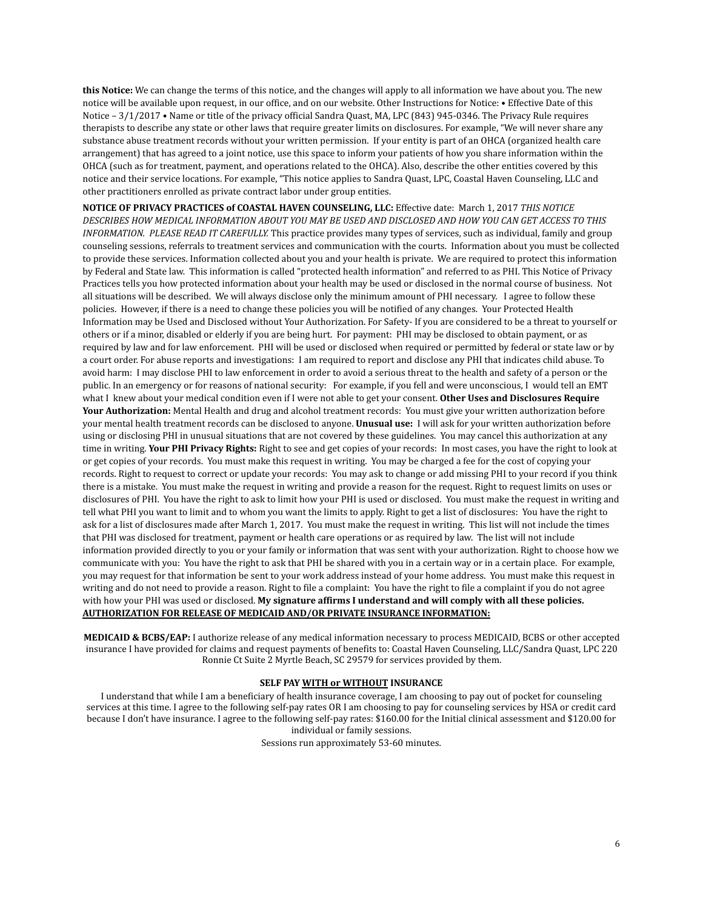**this Notice:** We can change the terms of this notice, and the changes will apply to all information we have about you. The new notice will be available upon request, in our office, and on our website. Other Instructions for Notice: • Effective Date of this Notice – 3/1/2017 • Name or title of the privacy official Sandra Quast, MA, LPC (843) 945-0346. The Privacy Rule requires therapists to describe any state or other laws that require greater limits on disclosures. For example, "We will never share any substance abuse treatment records without your written permission. If your entity is part of an OHCA (organized health care arrangement) that has agreed to a joint notice, use this space to inform your patients of how you share information within the OHCA (such as for treatment, payment, and operations related to the OHCA). Also, describe the other entities covered by this notice and their service locations. For example, "This notice applies to Sandra Quast, LPC, Coastal Haven Counseling, LLC and other practitioners enrolled as private contract labor under group entities.

**NOTICE OF PRIVACY PRACTICES of COASTAL HAVEN COUNSELING, LLC:** Effective date: March 1, 2017 *THIS NOTICE* DESCRIBES HOW MEDICAL INFORMATION ABOUT YOU MAY BE USED AND DISCLOSED AND HOW YOU CAN GET ACCESS TO THIS *INFORMATION. PLEASE READ IT CAREFULLY.* This practice provides many types of services, such as individual, family and group counseling sessions, referrals to treatment services and communication with the courts. Information about you must be collected to provide these services. Information collected about you and your health is private. We are required to protect this information by Federal and State law. This information is called "protected health information" and referred to as PHI. This Notice of Privacy Practices tells you how protected information about your health may be used or disclosed in the normal course of business. Not all situations will be described. We will always disclose only the minimum amount of PHI necessary. I agree to follow these policies. However, if there is a need to change these policies you will be notified of any changes. Your Protected Health Information may be Used and Disclosed without Your Authorization. For Safety- If you are considered to be a threat to yourself or others or if a minor, disabled or elderly if you are being hurt. For payment: PHI may be disclosed to obtain payment, or as required by law and for law enforcement. PHI will be used or disclosed when required or permitted by federal or state law or by a court order. For abuse reports and investigations: I am required to report and disclose any PHI that indicates child abuse. To avoid harm: I may disclose PHI to law enforcement in order to avoid a serious threat to the health and safety of a person or the public. In an emergency or for reasons of national security: For example, if you fell and were unconscious, I would tell an EMT what I knew about your medical condition even if I were not able to get your consent. **Other Uses and Disclosures Require Your Authorization:** Mental Health and drug and alcohol treatment records: You must give your written authorization before your mental health treatment records can be disclosed to anyone. **Unusual use:** I will ask for your written authorization before using or disclosing PHI in unusual situations that are not covered by these guidelines. You may cancel this authorization at any time in writing. **Your PHI Privacy Rights:** Right to see and get copies of your records: In most cases, you have the right to look at or get copies of your records. You must make this request in writing. You may be charged a fee for the cost of copying your records. Right to request to correct or update your records: You may ask to change or add missing PHI to your record if you think there is a mistake. You must make the request in writing and provide a reason for the request. Right to request limits on uses or disclosures of PHI. You have the right to ask to limit how your PHI is used or disclosed. You must make the request in writing and tell what PHI you want to limit and to whom you want the limits to apply. Right to get a list of disclosures: You have the right to ask for a list of disclosures made after March 1, 2017. You must make the request in writing. This list will not include the times that PHI was disclosed for treatment, payment or health care operations or as required by law. The list will not include information provided directly to you or your family or information that was sent with your authorization. Right to choose how we communicate with you: You have the right to ask that PHI be shared with you in a certain way or in a certain place. For example, you may request for that information be sent to your work address instead of your home address. You must make this request in writing and do not need to provide a reason. Right to file a complaint: You have the right to file a complaint if you do not agree with how your PHI was used or disclosed. **My signature affirms I understand and will comply with all these policies. AUTHORIZATION FOR RELEASE OF MEDICAID AND/OR PRIVATE INSURANCE INFORMATION:**

**MEDICAID & BCBS/EAP:** I authorize release of any medical information necessary to process MEDICAID, BCBS or other accepted insurance I have provided for claims and request payments of benefits to: Coastal Haven Counseling, LLC/Sandra Quast, LPC 220 Ronnie Ct Suite 2 Myrtle Beach, SC 29579 for services provided by them.

#### **SELF PAY WITH or WITHOUT INSURANCE**

I understand that while I am a beneficiary of health insurance coverage, I am choosing to pay out of pocket for counseling services at this time. I agree to the following self-pay rates OR I am choosing to pay for counseling services by HSA or credit card because I don't have insurance. I agree to the following self-pay rates: \$160.00 for the Initial clinical assessment and \$120.00 for individual or family sessions.

Sessions run approximately 53-60 minutes.